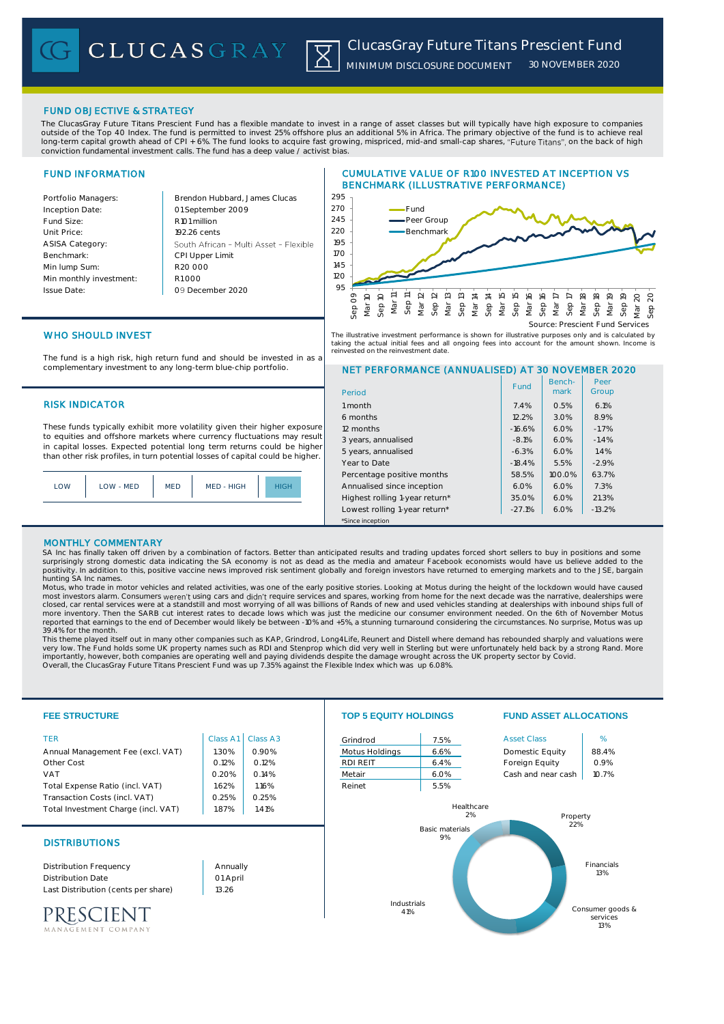# FUND OBJECTIVE & STRATEGY

The ClucasGray Future Titans Prescient Fund has a flexible mandate to invest in a range of asset classes but will typically have high exposure to companies outside of the Top 40 Index. The fund is permitted to invest 25% offshore plus an additional 5% in Africa. The primary objective of the fund is to achieve real long-term capital growth ahead of CPI + 6%. The fund looks to acquire fast growing, mispriced, mid-and small-cap shares, "Future Titans", on the back of high conviction fundamental investment calls. The fund has a deep value / activist bias.

# FUND INFORMATION

Portfolio Mar Inception Date Fund Size: Unit Price ASISA Categ Benchmark: Min lump Sum: Min monthly Issue Date:

| agers:      | Brendon Hubbard, James Clucas          |  |
|-------------|----------------------------------------|--|
| e:          | 01 September 2009                      |  |
|             | R <sub>101</sub> million               |  |
|             | 192.26 cents                           |  |
| :V1C        | South African - Multi Asset - Flexible |  |
|             | <b>CPI Upper Limit</b>                 |  |
| Ú.          | R20,000                                |  |
| investment: | R1000                                  |  |
|             | 09 December 2020                       |  |
|             |                                        |  |

# CUMULATIVE VALUE OF R100 INVESTED AT INCEPTION VS BENCHMARK (ILLUSTRATIVE PERFORMANCE)



# WHO SHOULD INVEST

The fund is a high risk, high return fund and should be invested in as a complementary investment to any long-term blue-chip portfolio.

# **RISK INDICATOR**

These funds typically exhibit more volatility given their higher exposure to equities and offshore markets where currency fluctuations may result in capital losses. Expected potential long term returns could be higher than other risk profiles, in turn potential losses of capital could be higher.

| LOW | LOW - MED | <b>MED</b> | MED - HIGH | HIGH |
|-----|-----------|------------|------------|------|
|     |           |            |            |      |



#### NET PERFORMANCE (ANNUALISED) AT 30 NOVEMBER 2020 Period Benchmark Fund Bench- Peer<br>
mark Group

| Period                         |          | mark.  | Group    |  |
|--------------------------------|----------|--------|----------|--|
| 1 month                        | 7.4%     | 0.5%   | 6.1%     |  |
| 6 months                       | 12.2%    | 3.0%   | 8.9%     |  |
| 12 months                      | $-16.6%$ | 6.0%   | $-1.7%$  |  |
| 3 years, annualised            | $-8.1%$  | 6.0%   | $-1.4%$  |  |
| 5 years, annualised            | $-6.3%$  | 6.0%   | 1.4%     |  |
| Year to Date                   | $-18.4%$ | 5.5%   | $-2.9%$  |  |
| Percentage positive months     | 58.5%    | 100.0% | 63.7%    |  |
| Annualised since inception     | 6.0%     | 6.0%   | 7.3%     |  |
| Highest rolling 1-year return* | 35.0%    | 6.0%   | 21.3%    |  |
| Lowest rolling 1-year return*  | $-27.1%$ | 6.0%   | $-13.2%$ |  |
| *Since inception               |          |        |          |  |

### MONTHLY COMMENTARY

SA Inc has finally taken off driven by a combination of factors. Better than anticipated results and trading updates forced short sellers to buy in positions and some surprisingly strong domestic data indicating the SA economy is not as dead as the media and amateur Facebook economists would have us believe added to the<br>positivity. In addition to this, positive vaccine news improved ris hunting SA Inc names.

Motus, who trade in motor vehicles and related activities, was one of the early positive stories. Looking at Motus during the height of the lockdown would have caused most investors alarm. Consumers weren't using cars and didn't require services and spares, working from home for the next decade was the narrative, dealerships were<br>closed, car rental services were at a standstill and most more inventory. Then the SARB cut interest rates to decade lows which was just the medicine our consumer environment needed. On the 6th of November Motus<br>reported that earnings to the end of December would likely be betwee 39.4% for the month.

This theme played itself out in many other companies such as KAP, Grindrod, Long4Life, Reunert and Distell where demand has rebounded sharply and valuations were very low. The Fund holds some UK property names such as RDI and Stenprop which did very well in Sterling but were unfortunately held back by a strong Rand. More importantly, however, both companies are operating well and paying dividends despite the damage wrought across the UK property sector by Covid.<br>Overall, the ClucasGray Future Titans Prescient Fund was up 7.35% against the



MANAGEMENT COMPANY